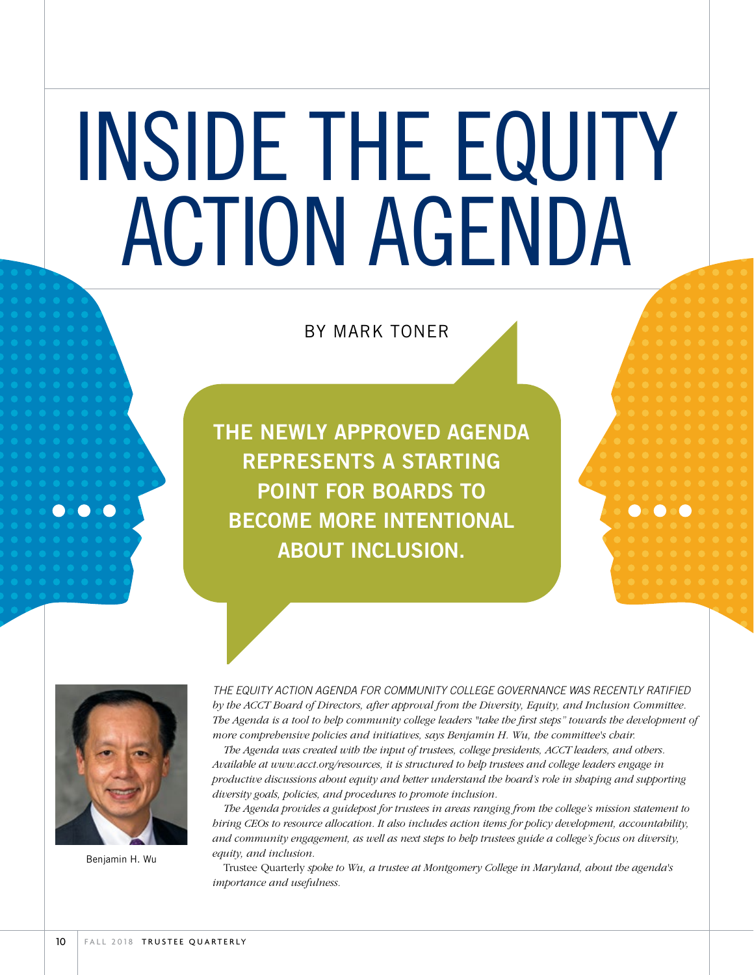# INSIDE THE EQUITY ACTION AGENDA

# BY MARK TONER

THE NEWLY APPROVED AGENDA REPRESENTS A STARTING POINT FOR BOARDS TO BECOME MORE INTENTIONAL ABOUT INCLUSION.



Benjamin H. Wu

*THE EQUITY ACTION AGENDA FOR COMMUNITY COLLEGE GOVERNANCE WAS RECENTLY RATIFIED by the ACCT Board of Directors, after approval from the Diversity, Equity, and Inclusion Committee. The Agenda is a tool to help community college leaders "take the first steps" towards the development of more comprehensive policies and initiatives, says Benjamin H. Wu, the committee's chair.*

*The Agenda was created with the input of trustees, college presidents, ACCT leaders, and others. Available at www.acct.org/resources, it is structured to help trustees and college leaders engage in productive discussions about equity and better understand the board's role in shaping and supporting diversity goals, policies, and procedures to promote inclusion.*

*The Agenda provides a guidepost for trustees in areas ranging from the college's mission statement to hiring CEOs to resource allocation. It also includes action items for policy development, accountability, and community engagement, as well as next steps to help trustees guide a college's focus on diversity, equity, and inclusion.* 

Trustee Quarterly *spoke to Wu, a trustee at Montgomery College in Maryland, about the agenda's importance and usefulness.*